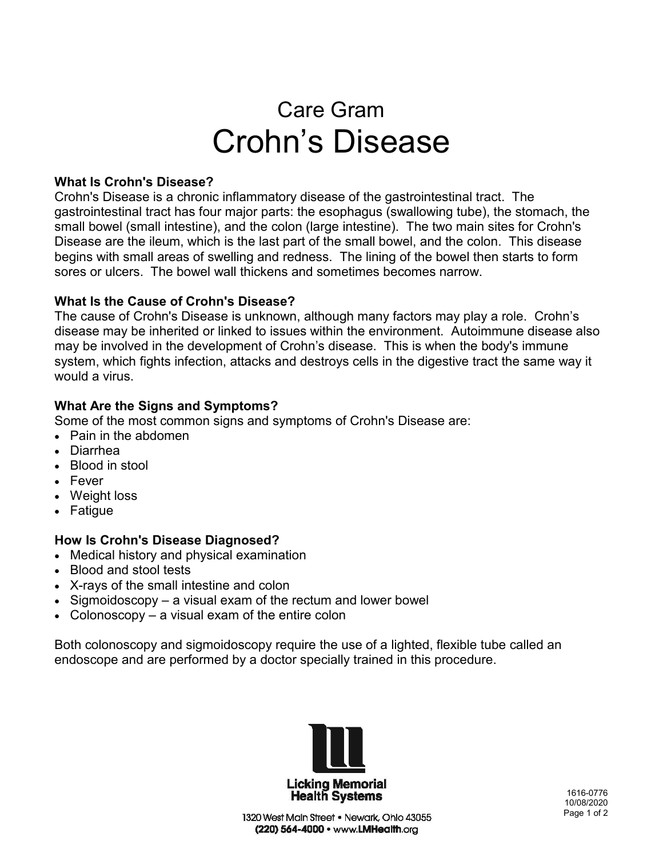# Care Gram Crohn's Disease

#### **What Is Crohn's Disease?**

Crohn's Disease is a chronic inflammatory disease of the gastrointestinal tract. The gastrointestinal tract has four major parts: the esophagus (swallowing tube), the stomach, the small bowel (small intestine), and the colon (large intestine). The two main sites for Crohn's Disease are the ileum, which is the last part of the small bowel, and the colon. This disease begins with small areas of swelling and redness. The lining of the bowel then starts to form sores or ulcers. The bowel wall thickens and sometimes becomes narrow.

## **What Is the Cause of Crohn's Disease?**

The cause of Crohn's Disease is unknown, although many factors may play a role. Crohn's disease may be inherited or linked to issues within the environment. Autoimmune disease also may be involved in the development of Crohn's disease. This is when the body's immune system, which fights infection, attacks and destroys cells in the digestive tract the same way it would a virus.

## **What Are the Signs and Symptoms?**

Some of the most common signs and symptoms of Crohn's Disease are:

- Pain in the abdomen
- Diarrhea
- Blood in stool
- Fever
- Weight loss
- Fatigue

## **How Is Crohn's Disease Diagnosed?**

- Medical history and physical examination
- Blood and stool tests
- X-rays of the small intestine and colon
- Sigmoidoscopy a visual exam of the rectum and lower bowel
- Colonoscopy  $-$  a visual exam of the entire colon

Both colonoscopy and sigmoidoscopy require the use of a lighted, flexible tube called an endoscope and are performed by a doctor specially trained in this procedure.



 1616-0776 10/08/2020 Page 1 of 2

1320 West Main Street . Newark, Ohio 43055 (220) 564-4000 · www.LMHealth.org